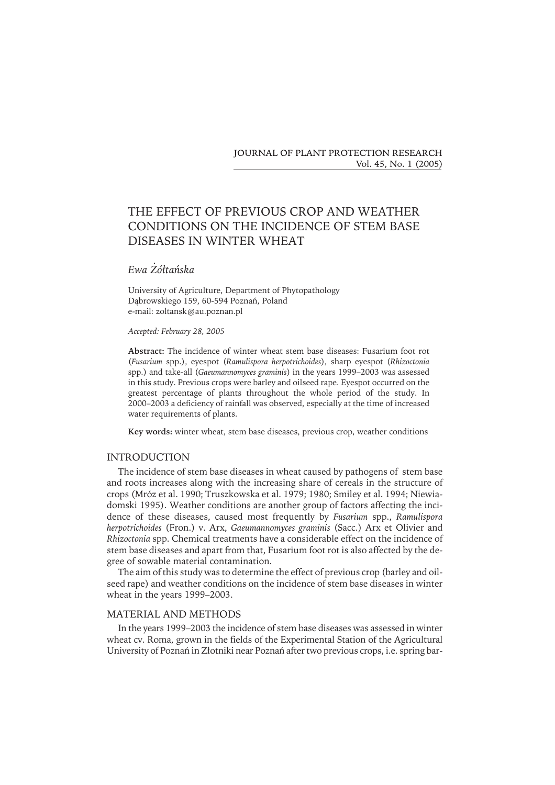**JOURNAL OF PLANT PROTECTION RESEARCH** Vol. 45, No. 1 (2005)

# THE EFFECT OF PREVIOUS CROP AND WEATHER CONDITIONS ON THE INCIDENCE OF STEM BASE DISEASES IN WINTER WHEAT

## *Ewa Żółtańska*

University of Agriculture, Department of Phytopathology Dąbrowskiego 159, 60-594 Poznań, Poland e-mail: zoltansk@au.poznan.pl

#### *Accepted: February 28, 2005*

**Abstract:** The incidence of winter wheat stem base diseases: Fusarium foot rot (*Fusarium* spp.), eyespot (*Ramulispora herpotrichoides*), sharp eyespot (*Rhizoctonia* spp.) and take-all (*Gaeumannomyces graminis*) in the years 1999–2003 was assessed in this study. Previous crops were barley and oilseed rape. Eyespot occurred on the greatest percentage of plants throughout the whole period of the study. In 2000–2003 a deficiency of rainfall was observed, especially at the time of increased water requirements of plants.

**Key words:** winter wheat, stem base diseases, previous crop, weather conditions

#### INTRODUCTION

The incidence of stem base diseases in wheat caused by pathogens of stem base and roots increases along with the increasing share of cereals in the structure of crops (Mróz et al. 1990; Truszkowska et al. 1979; 1980; Smiley et al. 1994; Niewiadomski 1995). Weather conditions are another group of factors affecting the incidence of these diseases, caused most frequently by *Fusarium* spp., *Ramulispora herpotrichoides* (Fron.) v. Arx, *Gaeumannomyces graminis* (Sacc.) Arx et Olivier and *Rhizoctonia* spp. Chemical treatments have a considerable effect on the incidence of stem base diseases and apart from that, Fusarium foot rot is also affected by the degree of sowable material contamination.

The aim of this study was to determine the effect of previous crop (barley and oilseed rape) and weather conditions on the incidence of stem base diseases in winter wheat in the years 1999–2003.

## MATERIAL AND METHODS

In the years 1999–2003 the incidence of stem base diseases was assessed in winter wheat cv. Roma, grown in the fields of the Experimental Station of the Agricultural University of Poznań in Złotniki near Poznań after two previous crops, i.e. spring bar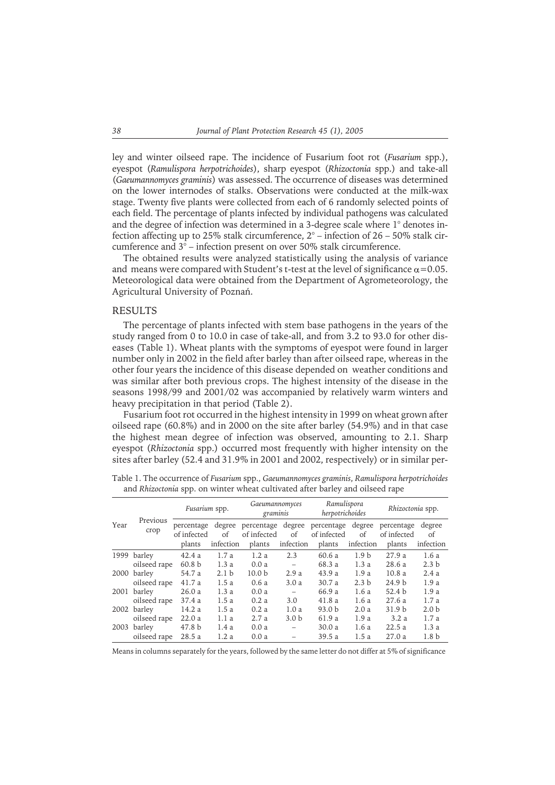ley and winter oilseed rape. The incidence of Fusarium foot rot (*Fusarium* spp.), eyespot (*Ramulispora herpotrichoides*), sharp eyespot (*Rhizoctonia* spp.) and take-all (*Gaeumannomyces graminis*) was assessed. The occurrence of diseases was determined on the lower internodes of stalks. Observations were conducted at the milk-wax stage. Twenty five plants were collected from each of 6 randomly selected points of each field. The percentage of plants infected by individual pathogens was calculated and the degree of infection was determined in a 3-degree scale where 1° denotes infection affecting up to 25% stalk circumference, 2° – infection of 26 – 50% stalk circumference and 3° – infection present on over 50% stalk circumference.

The obtained results were analyzed statistically using the analysis of variance and means were compared with Student's t-test at the level of significance  $\alpha$  = 0.05. Meteorological data were obtained from the Department of Agrometeorology, the Agricultural University of Poznań.

#### RESULTS

The percentage of plants infected with stem base pathogens in the years of the study ranged from 0 to 10.0 in case of take-all, and from 3.2 to 93.0 for other diseases (Table 1). Wheat plants with the symptoms of eyespot were found in larger number only in 2002 in the field after barley than after oilseed rape, whereas in the other four years the incidence of this disease depended on weather conditions and was similar after both previous crops. The highest intensity of the disease in the seasons 1998/99 and 2001/02 was accompanied by relatively warm winters and heavy precipitation in that period (Table 2).

Fusarium foot rot occurred in the highest intensity in 1999 on wheat grown after oilseed rape (60.8%) and in 2000 on the site after barley (54.9%) and in that case the highest mean degree of infection was observed, amounting to 2.1. Sharp eyespot (*Rhizoctonia* spp.) occurred most frequently with higher intensity on the sites after barley (52.4 and 31.9% in 2001 and 2002, respectively) or in similar per-

| Year | Previous<br>crop | Fusarium spp.             |                  | Gaeumannomyces<br>graminis |                          | Ramulispora<br>herpotrichoides |                  | Rhizoctonia spp.          |                  |
|------|------------------|---------------------------|------------------|----------------------------|--------------------------|--------------------------------|------------------|---------------------------|------------------|
|      |                  | percentage<br>of infected | degree<br>of     | percentage<br>of infected  | degree<br>of             | percentage<br>of infected      | degree<br>of     | percentage<br>of infected | degree<br>οf     |
|      |                  | plants                    | infection        | plants                     | infection                | plants                         | infection        | plants                    | infection        |
| 1999 | barley           | 42.4a                     | 1.7a             | 1.2a                       | 2.3                      | 60.6 a                         | 1.9 <sub>b</sub> | 27.9a                     | 1.6a             |
|      | oilseed rape     | 60.8 <sub>b</sub>         | 1.3a             | 0.0a                       | $\overline{\phantom{m}}$ | 68.3 a                         | 1.3a             | 28.6a                     | 2.3 <sub>b</sub> |
| 2000 | barley           | 54.7 a                    | 2.1 <sub>b</sub> | 10.0 <sub>b</sub>          | 2.9a                     | 43.9 a                         | 1.9a             | 10.8a                     | 2.4a             |
|      | oilseed rape     | 41.7a                     | 1.5a             | 0.6a                       | 3.0a                     | 30.7a                          | 2.3 <sub>b</sub> | 24.9 <sub>b</sub>         | 1.9a             |
| 2001 | barley           | 26.0a                     | 1.3a             | 0.0a                       |                          | 66.9 a                         | 1.6a             | 52.4 <sub>b</sub>         | 1.9a             |
|      | oilseed rape     | 37.4a                     | 1.5a             | 0.2a                       | 3.0                      | 41.8 a                         | 1.6a             | 27.6a                     | 1.7a             |
| 2002 | barley           | 14.2a                     | 1.5a             | 0.2a                       | 1.0a                     | 93.0 b                         | 2.0a             | 31.9 <sub>b</sub>         | 2.0 <sub>b</sub> |
|      | oilseed rape     | 22.0a                     | 1.1a             | 2.7a                       | 3.0 <sub>b</sub>         | 61.9 a                         | 1.9a             | 3.2a                      | 1.7a             |
| 2003 | barley           | 47.8 <sub>b</sub>         | 1.4a             | 0.0a                       | $\qquad \qquad -$        | 30.0 a                         | 1.6a             | 22.5a                     | 1.3a             |
|      | oilseed rape     | 28.5 a                    | 1.2a             | 0.0a                       |                          | 39.5a                          | 1.5a             | 27.0a                     | 1.8 <sub>b</sub> |

Table 1. The occurrence of *Fusarium* spp., *Gaeumannomyces graminis*, *Ramulispora herpotrichoides* and *Rhizoctonia* spp. on winter wheat cultivated after barley and oilseed rape

Means in columns separately for the years, followed by the same letter do not differ at 5% of significance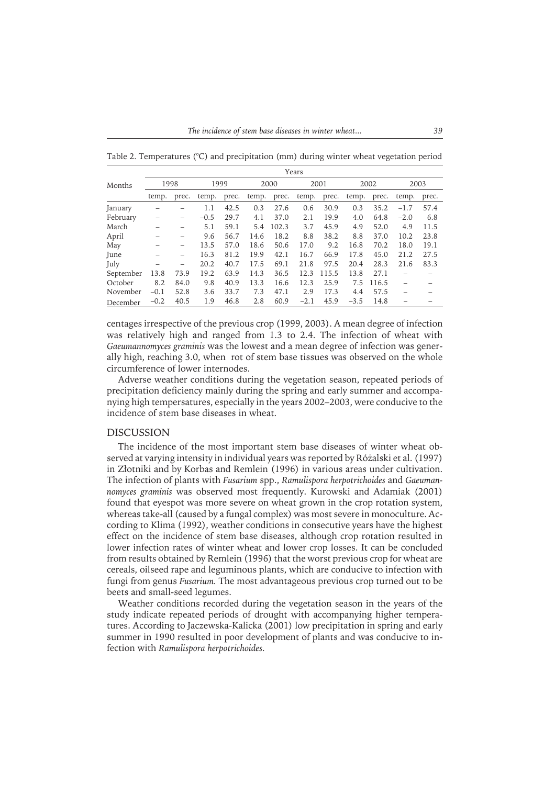Months Years 1998 1999 2000 2001 2002 2003 temp. prec. temp. prec. temp. prec. temp. prec. temp. prec. temp. prec. January – – 1.1 42.5 0.3 27.6 0.6 30.9 0.3 35.2 –1.7 57.4 February – – –0.5 29.7 4.1 37.0 2.1 19.9 4.0 64.8 –2.0 6.8 March – – 5.1 59.1 5.4 102.3 3.7 45.9 4.9 52.0 4.9 11.5 April – – 9.6 56.7 14.6 18.2 8.8 38.2 8.8 37.0 10.2 23.8 May – – 13.5 57.0 18.6 50.6 17.0 9.2 16.8 70.2 18.0 19.1 June – – 16.3 81.2 19.9 42.1 16.7 66.9 17.8 45.0 21.2 27.5 July – – 20.2 40.7 17.5 69.1 21.8 97.5 20.4 28.3 21.6 83.3 September 13.8 73.9 19.2 63.9 14.3 36.5 12.3 115.5 13.8 27.1 – – October 8.2 84.0 9.8 40.9 13.3 16.6 12.3 25.9 7.5 116.5 – – November –0.1 52.8 3.6 33.7 7.3 47.1 2.9 17.3 4.4 57.5 – – December –0.2 40.5 1.9 46.8 2.8 60.9 –2.1 45.9 –3.5 14.8 – –

Table 2. Temperatures (°C) and precipitation (mm) during winter wheat vegetation period

centages irrespective of the previous crop (1999, 2003). A mean degree of infection was relatively high and ranged from 1.3 to 2.4. The infection of wheat with *Gaeumannomyces graminis* was the lowest and a mean degree of infection was generally high, reaching 3.0, when rot of stem base tissues was observed on the whole circumference of lower internodes.

Adverse weather conditions during the vegetation season, repeated periods of precipitation deficiency mainly during the spring and early summer and accompanying high tempersatures, especially in the years 2002–2003, were conducive to the incidence of stem base diseases in wheat.

## DISCUSSION

The incidence of the most important stem base diseases of winter wheat observed at varying intensity in individual years was reported by Różalski et al. (1997) in Złotniki and by Korbas and Remlein (1996) in various areas under cultivation. The infection of plants with *Fusarium* spp., *Ramulispora herpotrichoides* and *Gaeumannomyces graminis* was observed most frequently. Kurowski and Adamiak (2001) found that eyespot was more severe on wheat grown in the crop rotation system, whereas take-all (caused by a fungal complex) was most severe in monoculture. According to Klima (1992), weather conditions in consecutive years have the highest effect on the incidence of stem base diseases, although crop rotation resulted in lower infection rates of winter wheat and lower crop losses. It can be concluded from results obtained by Remlein (1996) that the worst previous crop for wheat are cereals, oilseed rape and leguminous plants, which are conducive to infection with fungi from genus *Fusarium.* The most advantageous previous crop turned out to be beets and small-seed legumes.

Weather conditions recorded during the vegetation season in the years of the study indicate repeated periods of drought with accompanying higher temperatures. According to Jaczewska-Kalicka (2001) low precipitation in spring and early summer in 1990 resulted in poor development of plants and was conducive to infection with *Ramulispora herpotrichoides.*